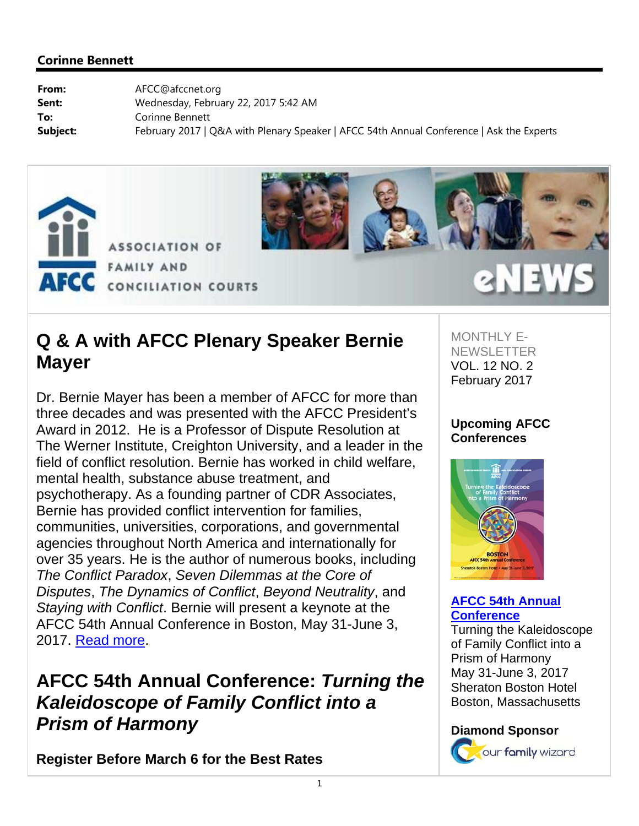



# **Q & A with AFCC Plenary Speaker Bernie Mayer**

Dr. Bernie Mayer has been a member of AFCC for more than three decades and was presented with the AFCC President's Award in 2012. He is a Professor of Dispute Resolution at The Werner Institute, Creighton University, and a leader in the field of conflict resolution. Bernie has worked in child welfare, mental health, substance abuse treatment, and psychotherapy. As a founding partner of CDR Associates, Bernie has provided conflict intervention for families, communities, universities, corporations, and governmental agencies throughout North America and internationally for over 35 years. He is the author of numerous books, including *The Conflict Paradox*, *Seven Dilemmas at the Core of Disputes*, *The Dynamics of Conflict*, *Beyond Neutrality*, and *Staying with Conflict*. Bernie will present a keynote at the AFCC 54th Annual Conference in Boston, May 31-June 3, 2017. Read more.

# **AFCC 54th Annual Conference:** *Turning the Kaleidoscope of Family Conflict into a Prism of Harmony*

**Register Before March 6 for the Best Rates**

MONTHLY E-NEWSLETTER VOL. 12 NO. 2 February 2017

**eNEW** 

### **Upcoming AFCC Conferences**



#### **AFCC 54th Annual Conference**

Turning the Kaleidoscope of Family Conflict into a Prism of Harmony May 31-June 3, 2017 Sheraton Boston Hotel Boston, Massachusetts

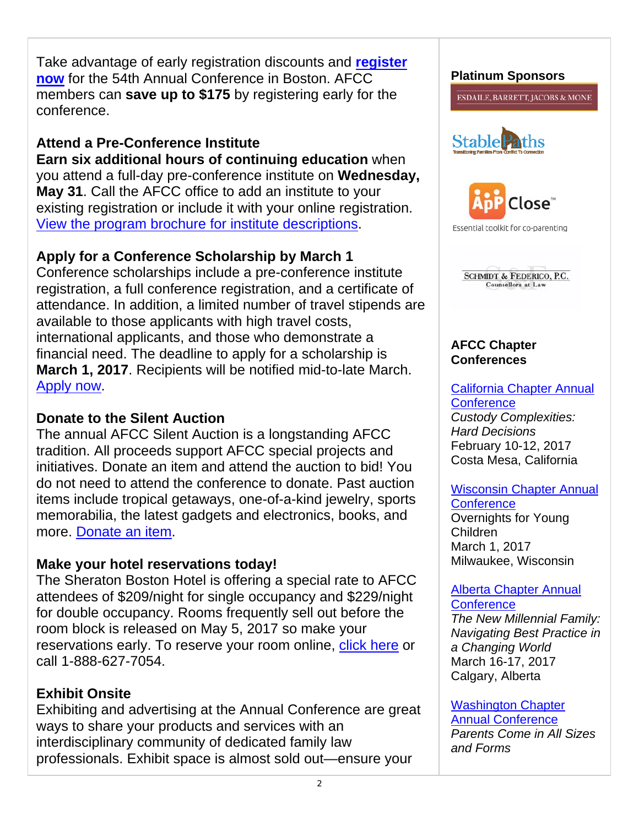Take advantage of early registration discounts and **register now** for the 54th Annual Conference in Boston. AFCC members can **save up to \$175** by registering early for the conference.

### **Attend a Pre-Conference Institute**

**Earn six additional hours of continuing education** when you attend a full-day pre-conference institute on **Wednesday, May 31**. Call the AFCC office to add an institute to your existing registration or include it with your online registration. View the program brochure for institute descriptions.

## **Apply for a Conference Scholarship by March 1**

Conference scholarships include a pre-conference institute registration, a full conference registration, and a certificate of attendance. In addition, a limited number of travel stipends are available to those applicants with high travel costs, international applicants, and those who demonstrate a financial need. The deadline to apply for a scholarship is **March 1, 2017**. Recipients will be notified mid-to-late March. Apply now.

### **Donate to the Silent Auction**

The annual AFCC Silent Auction is a longstanding AFCC tradition. All proceeds support AFCC special projects and initiatives. Donate an item and attend the auction to bid! You do not need to attend the conference to donate. Past auction items include tropical getaways, one-of-a-kind jewelry, sports memorabilia, the latest gadgets and electronics, books, and more. Donate an item.

## **Make your hotel reservations today!**

The Sheraton Boston Hotel is offering a special rate to AFCC attendees of \$209/night for single occupancy and \$229/night for double occupancy. Rooms frequently sell out before the room block is released on May 5, 2017 so make your reservations early. To reserve your room online, click here or call 1-888-627-7054.

## **Exhibit Onsite**

Exhibiting and advertising at the Annual Conference are great ways to share your products and services with an interdisciplinary community of dedicated family law professionals. Exhibit space is almost sold out—ensure your

#### **Platinum Sponsors**

**ESDAILE, BARRETT, JACOBS & MONE** 





Essential toolkit for co-parenting



#### **AFCC Chapter Conferences**

### California Chapter Annual **Conference**

*Custody Complexities: Hard Decisions* February 10-12, 2017 Costa Mesa, California

### Wisconsin Chapter Annual **Conference**

Overnights for Young Children March 1, 2017 Milwaukee, Wisconsin

#### Alberta Chapter Annual **Conference**

*The New Millennial Family: Navigating Best Practice in a Changing World*  March 16-17, 2017 Calgary, Alberta

#### Washington Chapter Annual Conference *Parents Come in All Sizes and Forms*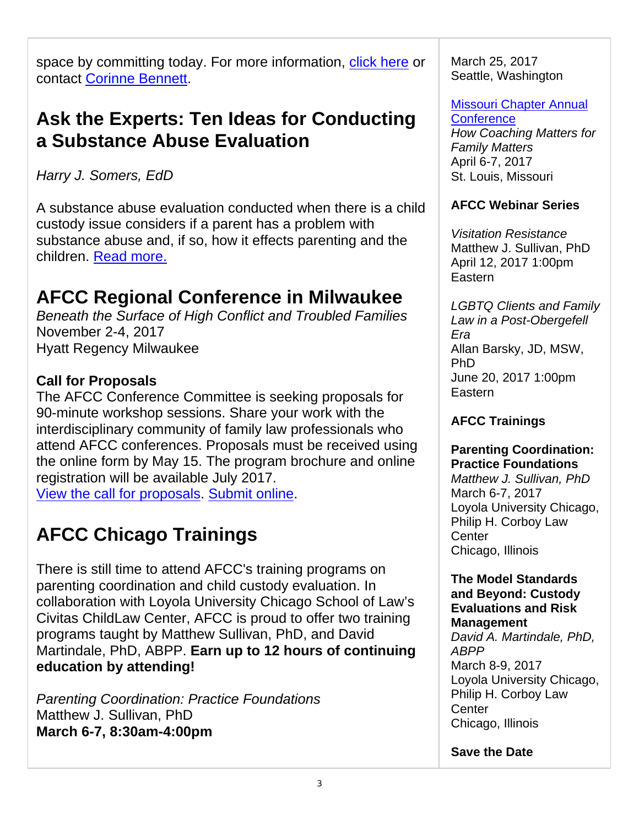space by committing today. For more information, click here or contact Corinne Bennett.

# **Ask the Experts: Ten Ideas for Conducting a Substance Abuse Evaluation**

*Harry J. Somers, EdD* 

A substance abuse evaluation conducted when there is a child custody issue considers if a parent has a problem with substance abuse and, if so, how it effects parenting and the children. Read more.

# **AFCC Regional Conference in Milwaukee**

*Beneath the Surface of High Conflict and Troubled Families* November 2-4, 2017 Hyatt Regency Milwaukee

### **Call for Proposals**

The AFCC Conference Committee is seeking proposals for 90-minute workshop sessions. Share your work with the interdisciplinary community of family law professionals who attend AFCC conferences. Proposals must be received using the online form by May 15. The program brochure and online registration will be available July 2017.

View the call for proposals. Submit online.

# **AFCC Chicago Trainings**

There is still time to attend AFCC's training programs on parenting coordination and child custody evaluation. In collaboration with Loyola University Chicago School of Law's Civitas ChildLaw Center, AFCC is proud to offer two training programs taught by Matthew Sullivan, PhD, and David Martindale, PhD, ABPP. **Earn up to 12 hours of continuing education by attending!** 

*Parenting Coordination: Practice Foundations* Matthew J. Sullivan, PhD **March 6-7, 8:30am-4:00pm**

March 25, 2017 Seattle, Washington

Missouri Chapter Annual **Conference** 

*How Coaching Matters for Family Matters*  April 6-7, 2017 St. Louis, Missouri

### **AFCC Webinar Series**

*Visitation Resistance*  Matthew J. Sullivan, PhD April 12, 2017 1:00pm Eastern

*LGBTQ Clients and Family Law in a Post-Obergefell Era*  Allan Barsky, JD, MSW, PhD June 20, 2017 1:00pm Eastern

### **AFCC Trainings**

### **Parenting Coordination: Practice Foundations**

*Matthew J. Sullivan, PhD* March 6-7, 2017 Loyola University Chicago, Philip H. Corboy Law **Center** Chicago, Illinois

#### **The Model Standards and Beyond: Custody Evaluations and Risk Management**

*David A. Martindale, PhD, ABPP* March 8-9, 2017 Loyola University Chicago, Philip H. Corboy Law Center Chicago, Illinois

**Save the Date**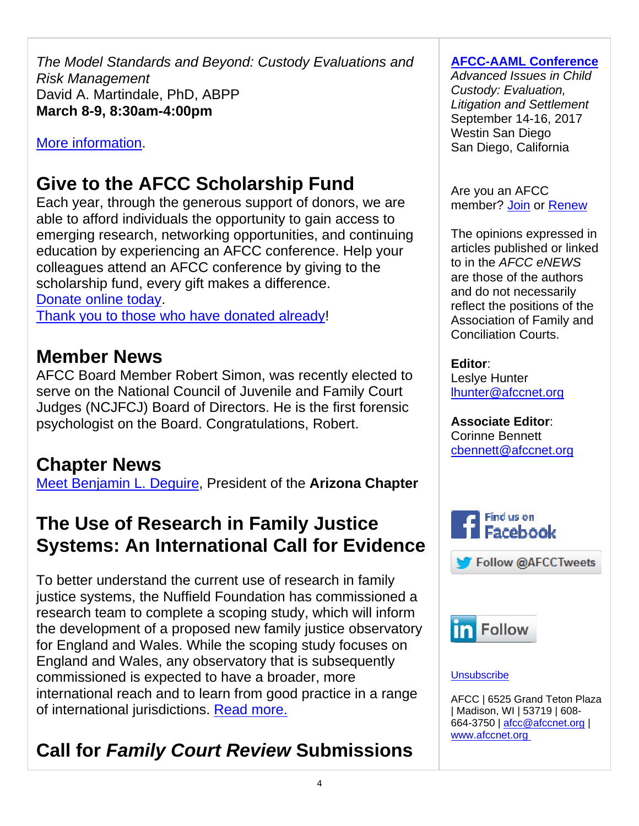*The Model Standards and Beyond: Custody Evaluations and Risk Management* David A. Martindale, PhD, ABPP **March 8-9, 8:30am-4:00pm**

### More information.

# **Give to the AFCC Scholarship Fund**

Each year, through the generous support of donors, we are able to afford individuals the opportunity to gain access to emerging research, networking opportunities, and continuing education by experiencing an AFCC conference. Help your colleagues attend an AFCC conference by giving to the scholarship fund, every gift makes a difference. Donate online today.

Thank you to those who have donated already!

# **Member News**

AFCC Board Member Robert Simon, was recently elected to serve on the National Council of Juvenile and Family Court Judges (NCJFCJ) Board of Directors. He is the first forensic psychologist on the Board. Congratulations, Robert.

# **Chapter News**

Meet Benjamin L. Deguire, President of the **Arizona Chapter**

# **The Use of Research in Family Justice Systems: An International Call for Evidence**

To better understand the current use of research in family justice systems, the Nuffield Foundation has commissioned a research team to complete a scoping study, which will inform the development of a proposed new family justice observatory for England and Wales. While the scoping study focuses on England and Wales, any observatory that is subsequently commissioned is expected to have a broader, more international reach and to learn from good practice in a range of international jurisdictions. Read more.

# **Call for** *Family Court Review* **Submissions**

### **AFCC-AAML Conference**

*Advanced Issues in Child Custody: Evaluation, Litigation and Settlement*  September 14-16, 2017 Westin San Diego San Diego, California

Are you an AFCC member? Join or Renew

The opinions expressed in articles published or linked to in the *AFCC eNEWS* are those of the authors and do not necessarily reflect the positions of the Association of Family and Conciliation Courts.

#### **Editor**:

Leslye Hunter lhunter@afccnet.org

### **Associate Editor**:

Corinne Bennett cbennett@afccnet.org



#### **Unsubscribe**

AFCC | 6525 Grand Teton Plaza | Madison, WI | 53719 | 608- 664-3750 | afcc@afccnet.org | www.afccnet.org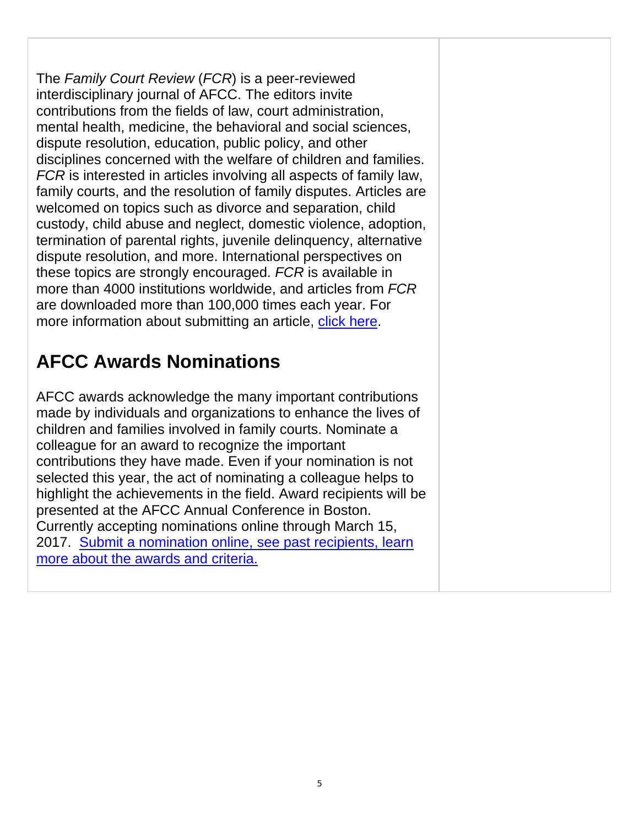The *Family Court Review* (*FCR*) is a peer-reviewed interdisciplinary journal of AFCC. The editors invite contributions from the fields of law, court administration, mental health, medicine, the behavioral and social sciences, dispute resolution, education, public policy, and other disciplines concerned with the welfare of children and families. *FCR* is interested in articles involving all aspects of family law, family courts, and the resolution of family disputes. Articles are welcomed on topics such as divorce and separation, child custody, child abuse and neglect, domestic violence, adoption, termination of parental rights, juvenile delinquency, alternative dispute resolution, and more. International perspectives on these topics are strongly encouraged. *FCR* is available in more than 4000 institutions worldwide, and articles from *FCR* are downloaded more than 100,000 times each year. For more information about submitting an article, click here.

# **AFCC Awards Nominations**

AFCC awards acknowledge the many important contributions made by individuals and organizations to enhance the lives of children and families involved in family courts. Nominate a colleague for an award to recognize the important contributions they have made. Even if your nomination is not selected this year, the act of nominating a colleague helps to highlight the achievements in the field. Award recipients will be presented at the AFCC Annual Conference in Boston. Currently accepting nominations online through March 15, 2017. Submit a nomination online, see past recipients, learn more about the awards and criteria.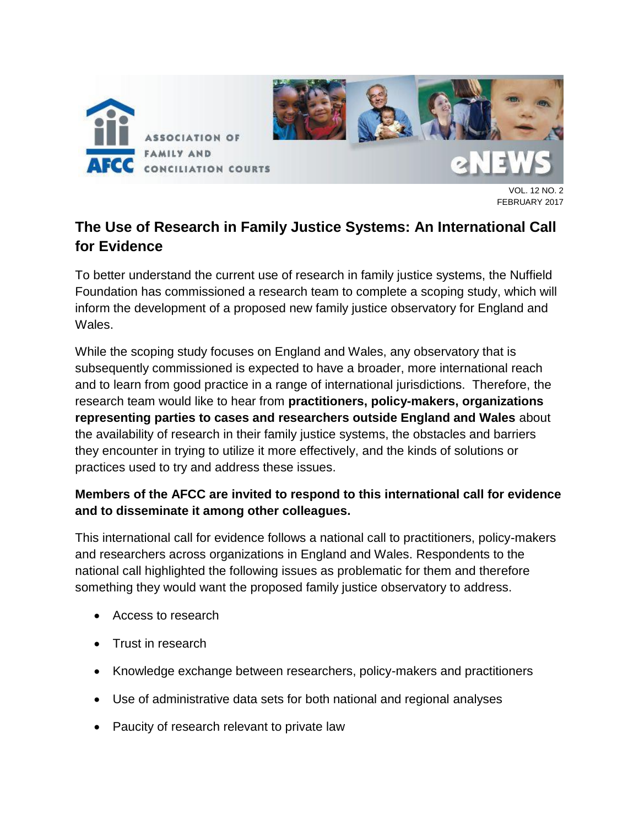

. 12 NO. 2 FEBRUARY 2017

## **The Use of Research in Family Justice Systems: An International Call for Evidence**

To better understand the current use of research in family justice systems, the Nuffield Foundation has commissioned a research team to complete a scoping study, which will inform the development of a proposed new family justice observatory for England and Wales.

While the scoping study focuses on England and Wales, any observatory that is subsequently commissioned is expected to have a broader, more international reach and to learn from good practice in a range of international jurisdictions. Therefore, the research team would like to hear from **practitioners, policy-makers, organizations representing parties to cases and researchers outside England and Wales** about the availability of research in their family justice systems, the obstacles and barriers they encounter in trying to utilize it more effectively, and the kinds of solutions or practices used to try and address these issues.

### **Members of the AFCC are invited to respond to this international call for evidence and to disseminate it among other colleagues.**

This international call for evidence follows a national call to practitioners, policy-makers and researchers across organizations in England and Wales. Respondents to the national call highlighted the following issues as problematic for them and therefore something they would want the proposed family justice observatory to address.

- Access to research
- Trust in research
- Knowledge exchange between researchers, policy-makers and practitioners
- Use of administrative data sets for both national and regional analyses
- Paucity of research relevant to private law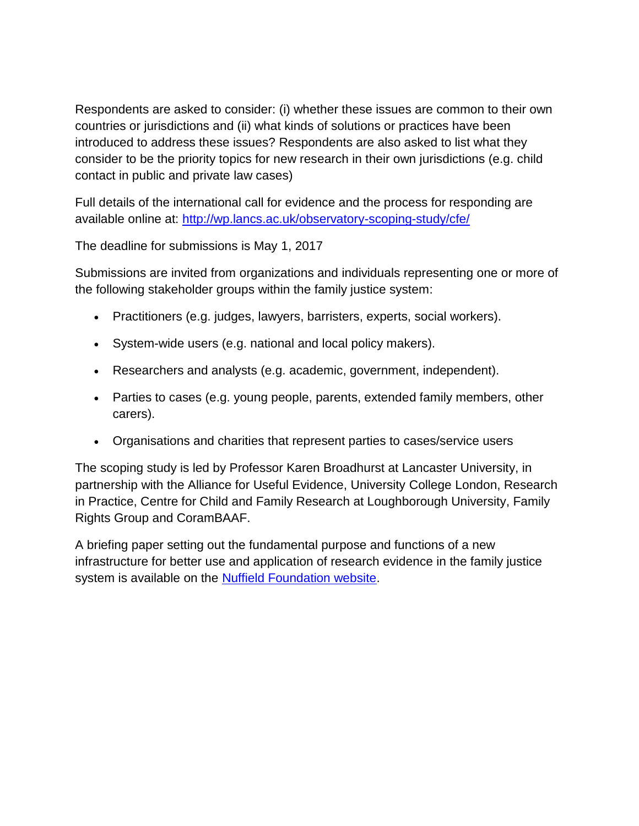Respondents are asked to consider: (i) whether these issues are common to their own countries or jurisdictions and (ii) what kinds of solutions or practices have been introduced to address these issues? Respondents are also asked to list what they consider to be the priority topics for new research in their own jurisdictions (e.g. child contact in public and private law cases)

Full details of the international call for evidence and the process for responding are available online at:<http://wp.lancs.ac.uk/observatory-scoping-study/cfe/>

The deadline for submissions is May 1, 2017

Submissions are invited from organizations and individuals representing one or more of the following stakeholder groups within the family justice system:

- Practitioners (e.g. judges, lawyers, barristers, experts, social workers).
- System-wide users (e.g. national and local policy makers).
- Researchers and analysts (e.g. academic, government, independent).
- Parties to cases (e.g. young people, parents, extended family members, other carers).
- Organisations and charities that represent parties to cases/service users

The scoping study is led by Professor Karen Broadhurst at Lancaster University, in partnership with the Alliance for Useful Evidence, University College London, Research in Practice, Centre for Child and Family Research at Loughborough University, Family Rights Group and CoramBAAF.

A briefing paper setting out the fundamental purpose and functions of a new infrastructure for better use and application of research evidence in the family justice system is available on the [Nuffield Foundation website.](http://www.nuffieldfoundation.org/sites/default/files/files/NUFJ3677_Family%20Justice_briefing_paper_08_10_15_WEB.pdf)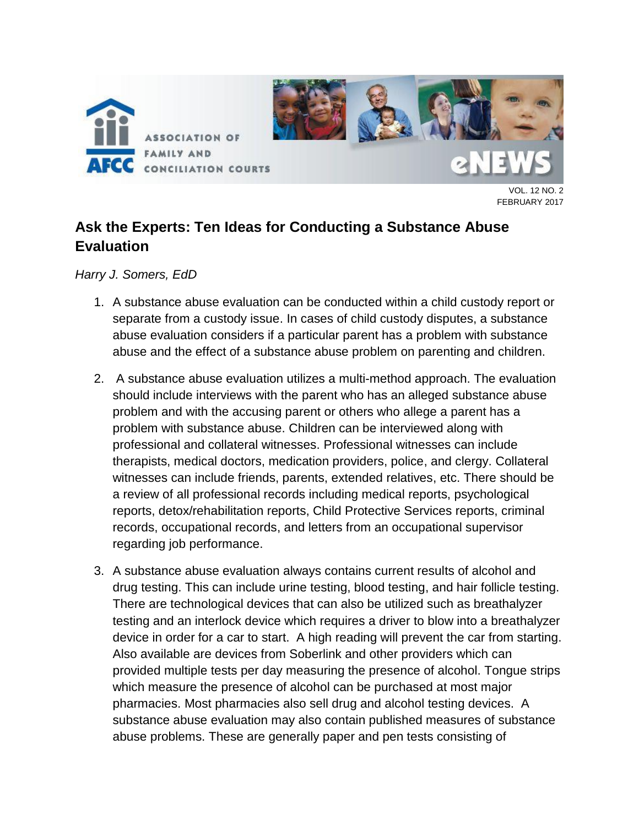

.. 12 NO. 2 FEBRUARY 2017

## **Ask the Experts: Ten Ideas for Conducting a Substance Abuse Evaluation**

*Harry J. Somers, EdD* 

- 1. A substance abuse evaluation can be conducted within a child custody report or separate from a custody issue. In cases of child custody disputes, a substance abuse evaluation considers if a particular parent has a problem with substance abuse and the effect of a substance abuse problem on parenting and children.
- 2. A substance abuse evaluation utilizes a multi-method approach. The evaluation should include interviews with the parent who has an alleged substance abuse problem and with the accusing parent or others who allege a parent has a problem with substance abuse. Children can be interviewed along with professional and collateral witnesses. Professional witnesses can include therapists, medical doctors, medication providers, police, and clergy. Collateral witnesses can include friends, parents, extended relatives, etc. There should be a review of all professional records including medical reports, psychological reports, detox/rehabilitation reports, Child Protective Services reports, criminal records, occupational records, and letters from an occupational supervisor regarding job performance.
- 3. A substance abuse evaluation always contains current results of alcohol and drug testing. This can include urine testing, blood testing, and hair follicle testing. There are technological devices that can also be utilized such as breathalyzer testing and an interlock device which requires a driver to blow into a breathalyzer device in order for a car to start. A high reading will prevent the car from starting. Also available are devices from Soberlink and other providers which can provided multiple tests per day measuring the presence of alcohol. Tongue strips which measure the presence of alcohol can be purchased at most major pharmacies. Most pharmacies also sell drug and alcohol testing devices. A substance abuse evaluation may also contain published measures of substance abuse problems. These are generally paper and pen tests consisting of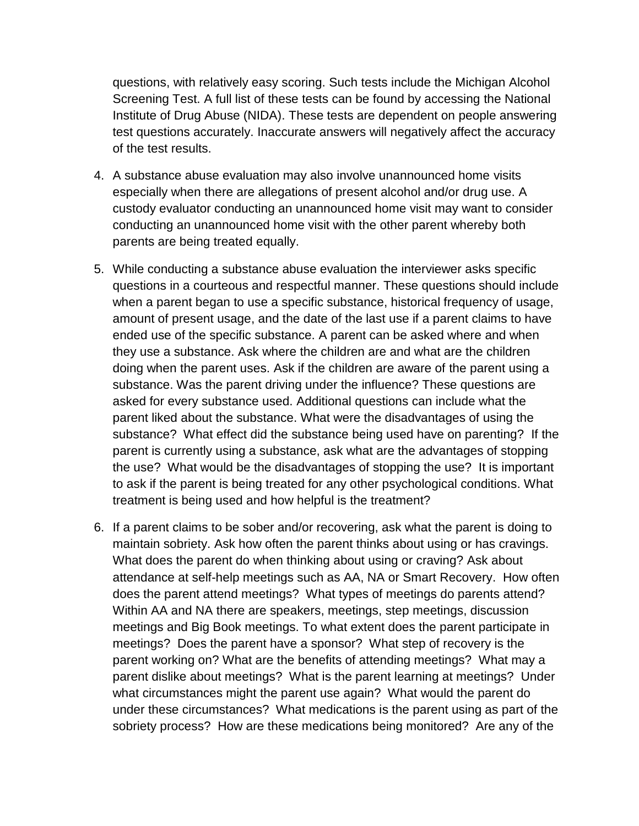questions, with relatively easy scoring. Such tests include the Michigan Alcohol Screening Test. A full list of these tests can be found by accessing the National Institute of Drug Abuse (NIDA). These tests are dependent on people answering test questions accurately. Inaccurate answers will negatively affect the accuracy of the test results.

- 4. A substance abuse evaluation may also involve unannounced home visits especially when there are allegations of present alcohol and/or drug use. A custody evaluator conducting an unannounced home visit may want to consider conducting an unannounced home visit with the other parent whereby both parents are being treated equally.
- 5. While conducting a substance abuse evaluation the interviewer asks specific questions in a courteous and respectful manner. These questions should include when a parent began to use a specific substance, historical frequency of usage, amount of present usage, and the date of the last use if a parent claims to have ended use of the specific substance. A parent can be asked where and when they use a substance. Ask where the children are and what are the children doing when the parent uses. Ask if the children are aware of the parent using a substance. Was the parent driving under the influence? These questions are asked for every substance used. Additional questions can include what the parent liked about the substance. What were the disadvantages of using the substance? What effect did the substance being used have on parenting? If the parent is currently using a substance, ask what are the advantages of stopping the use? What would be the disadvantages of stopping the use? It is important to ask if the parent is being treated for any other psychological conditions. What treatment is being used and how helpful is the treatment?
- 6. If a parent claims to be sober and/or recovering, ask what the parent is doing to maintain sobriety. Ask how often the parent thinks about using or has cravings. What does the parent do when thinking about using or craving? Ask about attendance at self-help meetings such as AA, NA or Smart Recovery. How often does the parent attend meetings? What types of meetings do parents attend? Within AA and NA there are speakers, meetings, step meetings, discussion meetings and Big Book meetings. To what extent does the parent participate in meetings? Does the parent have a sponsor? What step of recovery is the parent working on? What are the benefits of attending meetings? What may a parent dislike about meetings? What is the parent learning at meetings? Under what circumstances might the parent use again? What would the parent do under these circumstances? What medications is the parent using as part of the sobriety process? How are these medications being monitored? Are any of the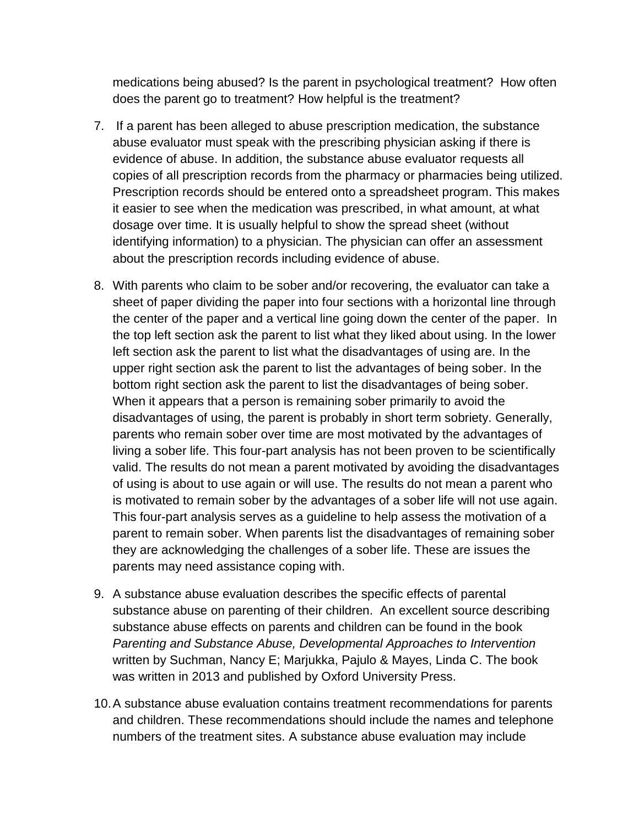medications being abused? Is the parent in psychological treatment? How often does the parent go to treatment? How helpful is the treatment?

- 7. If a parent has been alleged to abuse prescription medication, the substance abuse evaluator must speak with the prescribing physician asking if there is evidence of abuse. In addition, the substance abuse evaluator requests all copies of all prescription records from the pharmacy or pharmacies being utilized. Prescription records should be entered onto a spreadsheet program. This makes it easier to see when the medication was prescribed, in what amount, at what dosage over time. It is usually helpful to show the spread sheet (without identifying information) to a physician. The physician can offer an assessment about the prescription records including evidence of abuse.
- 8. With parents who claim to be sober and/or recovering, the evaluator can take a sheet of paper dividing the paper into four sections with a horizontal line through the center of the paper and a vertical line going down the center of the paper. In the top left section ask the parent to list what they liked about using. In the lower left section ask the parent to list what the disadvantages of using are. In the upper right section ask the parent to list the advantages of being sober. In the bottom right section ask the parent to list the disadvantages of being sober. When it appears that a person is remaining sober primarily to avoid the disadvantages of using, the parent is probably in short term sobriety. Generally, parents who remain sober over time are most motivated by the advantages of living a sober life. This four-part analysis has not been proven to be scientifically valid. The results do not mean a parent motivated by avoiding the disadvantages of using is about to use again or will use. The results do not mean a parent who is motivated to remain sober by the advantages of a sober life will not use again. This four-part analysis serves as a guideline to help assess the motivation of a parent to remain sober. When parents list the disadvantages of remaining sober they are acknowledging the challenges of a sober life. These are issues the parents may need assistance coping with.
- 9. A substance abuse evaluation describes the specific effects of parental substance abuse on parenting of their children. An excellent source describing substance abuse effects on parents and children can be found in the book *Parenting and Substance Abuse, Developmental Approaches to Intervention* written by Suchman, Nancy E; Marjukka, Pajulo & Mayes, Linda C. The book was written in 2013 and published by Oxford University Press.
- 10.A substance abuse evaluation contains treatment recommendations for parents and children. These recommendations should include the names and telephone numbers of the treatment sites. A substance abuse evaluation may include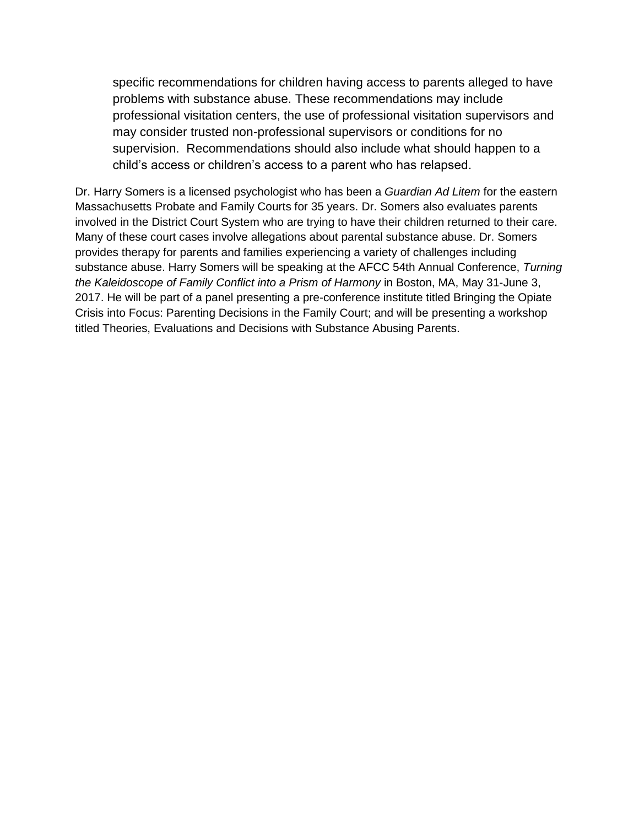specific recommendations for children having access to parents alleged to have problems with substance abuse. These recommendations may include professional visitation centers, the use of professional visitation supervisors and may consider trusted non-professional supervisors or conditions for no supervision. Recommendations should also include what should happen to a child's access or children's access to a parent who has relapsed.

Dr. Harry Somers is a licensed psychologist who has been a *Guardian Ad Litem* for the eastern Massachusetts Probate and Family Courts for 35 years. Dr. Somers also evaluates parents involved in the District Court System who are trying to have their children returned to their care. Many of these court cases involve allegations about parental substance abuse. Dr. Somers provides therapy for parents and families experiencing a variety of challenges including substance abuse. Harry Somers will be speaking at the AFCC 54th Annual Conference, *Turning the Kaleidoscope of Family Conflict into a Prism of Harmony* in Boston, MA, May 31-June 3, 2017. He will be part of a panel presenting a pre-conference institute titled Bringing the Opiate Crisis into Focus: Parenting Decisions in the Family Court; and will be presenting a workshop titled Theories, Evaluations and Decisions with Substance Abusing Parents.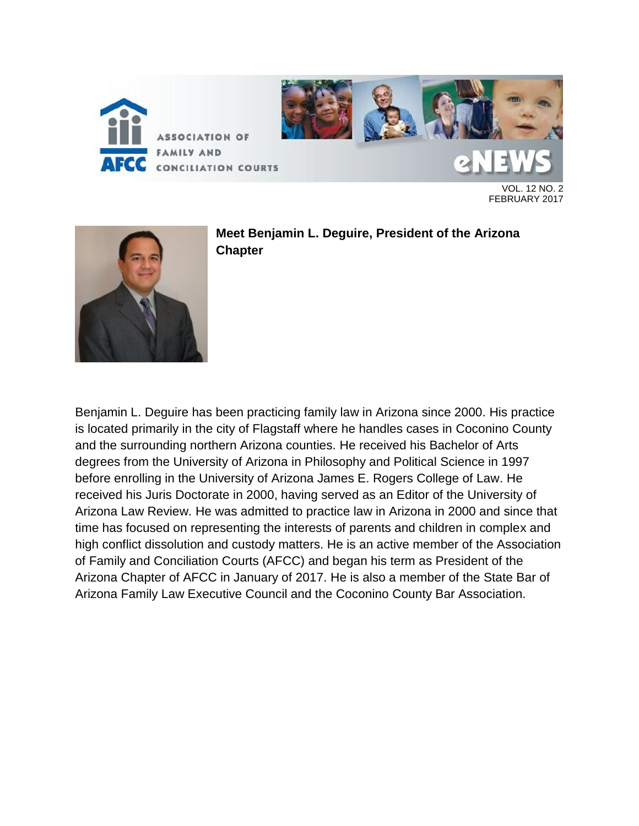

VOL. 12 NO. 2 FEBRUARY 2017



**Meet Benjamin L. Deguire, President of the Arizona Chapter**

Benjamin L. Deguire has been practicing family law in Arizona since 2000. His practice is located primarily in the city of Flagstaff where he handles cases in Coconino County and the surrounding northern Arizona counties. He received his Bachelor of Arts degrees from the University of Arizona in Philosophy and Political Science in 1997 before enrolling in the University of Arizona James E. Rogers College of Law. He received his Juris Doctorate in 2000, having served as an Editor of the University of Arizona Law Review. He was admitted to practice law in Arizona in 2000 and since that time has focused on representing the interests of parents and children in complex and high conflict dissolution and custody matters. He is an active member of the Association of Family and Conciliation Courts (AFCC) and began his term as President of the Arizona Chapter of AFCC in January of 2017. He is also a member of the State Bar of Arizona Family Law Executive Council and the Coconino County Bar Association.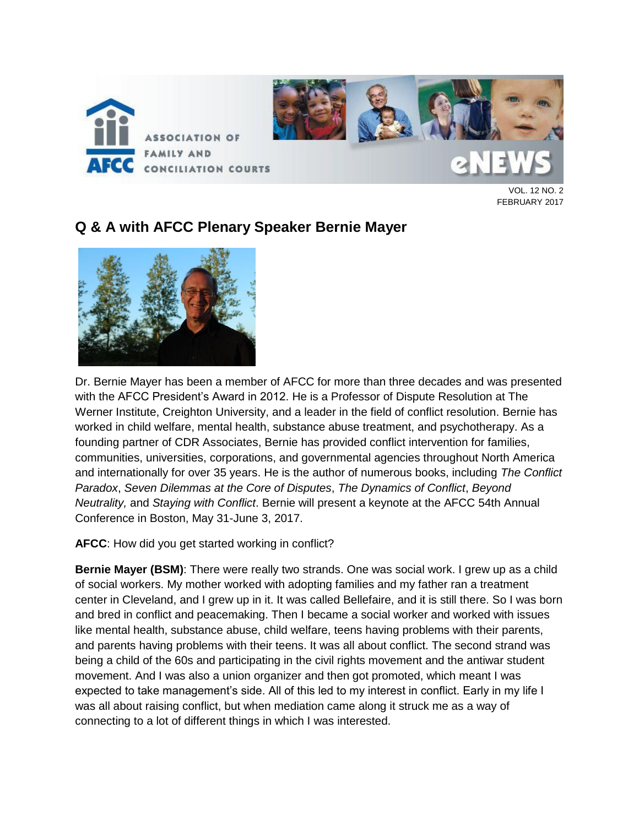

VOL. 12 NO. 2 FEBRUARY 2017

### **Q & A with AFCC Plenary Speaker Bernie Mayer**



Dr. Bernie Mayer has been a member of AFCC for more than three decades and was presented with the AFCC President's Award in 2012. He is a Professor of Dispute Resolution at The Werner Institute, Creighton University, and a leader in the field of conflict resolution. Bernie has worked in child welfare, mental health, substance abuse treatment, and psychotherapy. As a founding partner of CDR Associates, Bernie has provided conflict intervention for families, communities, universities, corporations, and governmental agencies throughout North America and internationally for over 35 years. He is the author of numerous books, including *The Conflict Paradox*, *Seven Dilemmas at the Core of Disputes*, *The Dynamics of Conflict*, *Beyond Neutrality,* and *Staying with Conflict*. Bernie will present a keynote at the AFCC 54th Annual Conference in Boston, May 31-June 3, 2017.

**AFCC**: How did you get started working in conflict?

**Bernie Mayer (BSM)**: There were really two strands. One was social work. I grew up as a child of social workers. My mother worked with adopting families and my father ran a treatment center in Cleveland, and I grew up in it. It was called Bellefaire, and it is still there. So I was born and bred in conflict and peacemaking. Then I became a social worker and worked with issues like mental health, substance abuse, child welfare, teens having problems with their parents, and parents having problems with their teens. It was all about conflict. The second strand was being a child of the 60s and participating in the civil rights movement and the antiwar student movement. And I was also a union organizer and then got promoted, which meant I was expected to take management's side. All of this led to my interest in conflict. Early in my life I was all about raising conflict, but when mediation came along it struck me as a way of connecting to a lot of different things in which I was interested.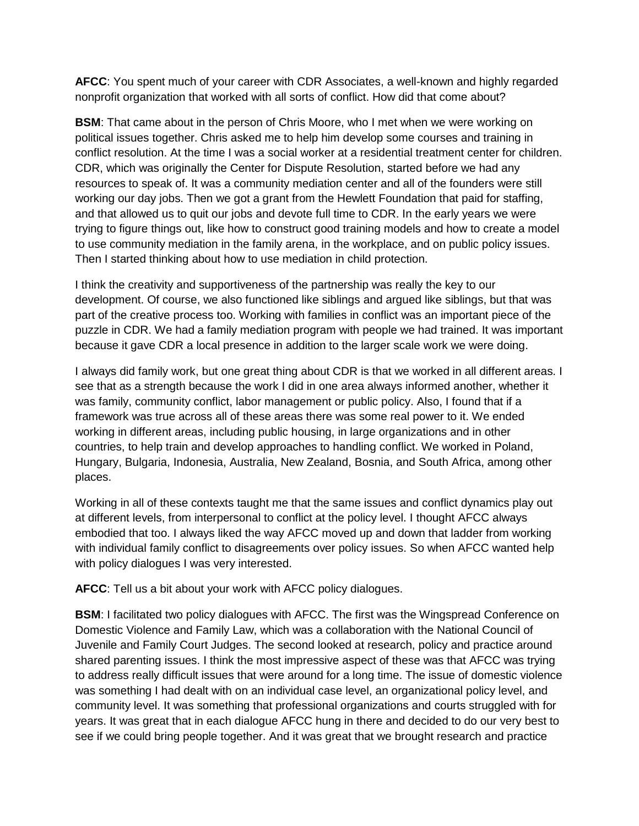**AFCC**: You spent much of your career with CDR Associates, a well-known and highly regarded nonprofit organization that worked with all sorts of conflict. How did that come about?

**BSM**: That came about in the person of Chris Moore, who I met when we were working on political issues together. Chris asked me to help him develop some courses and training in conflict resolution. At the time I was a social worker at a residential treatment center for children. CDR, which was originally the Center for Dispute Resolution, started before we had any resources to speak of. It was a community mediation center and all of the founders were still working our day jobs. Then we got a grant from the Hewlett Foundation that paid for staffing, and that allowed us to quit our jobs and devote full time to CDR. In the early years we were trying to figure things out, like how to construct good training models and how to create a model to use community mediation in the family arena, in the workplace, and on public policy issues. Then I started thinking about how to use mediation in child protection.

I think the creativity and supportiveness of the partnership was really the key to our development. Of course, we also functioned like siblings and argued like siblings, but that was part of the creative process too. Working with families in conflict was an important piece of the puzzle in CDR. We had a family mediation program with people we had trained. It was important because it gave CDR a local presence in addition to the larger scale work we were doing.

I always did family work, but one great thing about CDR is that we worked in all different areas. I see that as a strength because the work I did in one area always informed another, whether it was family, community conflict, labor management or public policy. Also, I found that if a framework was true across all of these areas there was some real power to it. We ended working in different areas, including public housing, in large organizations and in other countries, to help train and develop approaches to handling conflict. We worked in Poland, Hungary, Bulgaria, Indonesia, Australia, New Zealand, Bosnia, and South Africa, among other places.

Working in all of these contexts taught me that the same issues and conflict dynamics play out at different levels, from interpersonal to conflict at the policy level. I thought AFCC always embodied that too. I always liked the way AFCC moved up and down that ladder from working with individual family conflict to disagreements over policy issues. So when AFCC wanted help with policy dialogues I was very interested.

**AFCC**: Tell us a bit about your work with AFCC policy dialogues.

**BSM**: I facilitated two policy dialogues with AFCC. The first was the Wingspread Conference on Domestic Violence and Family Law, which was a collaboration with the National Council of Juvenile and Family Court Judges. The second looked at research, policy and practice around shared parenting issues. I think the most impressive aspect of these was that AFCC was trying to address really difficult issues that were around for a long time. The issue of domestic violence was something I had dealt with on an individual case level, an organizational policy level, and community level. It was something that professional organizations and courts struggled with for years. It was great that in each dialogue AFCC hung in there and decided to do our very best to see if we could bring people together. And it was great that we brought research and practice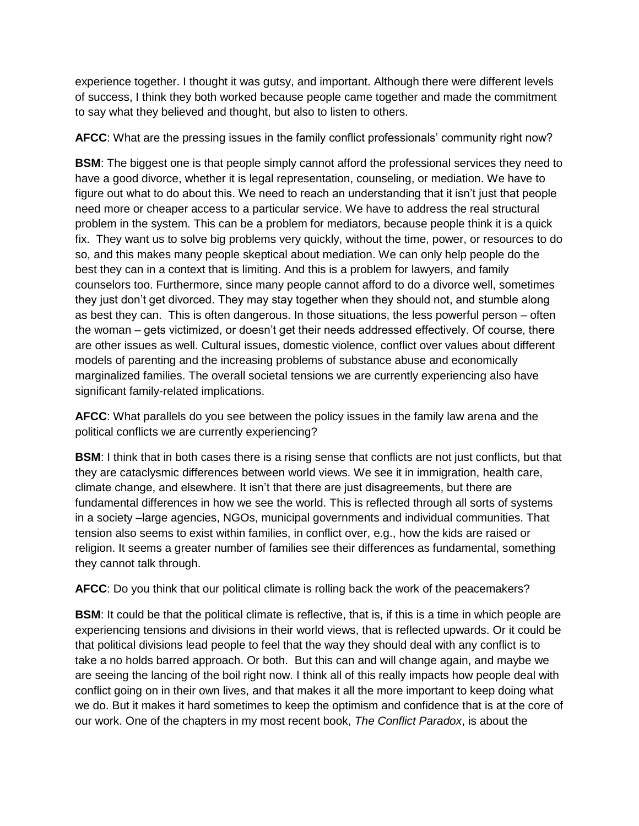experience together. I thought it was gutsy, and important. Although there were different levels of success, I think they both worked because people came together and made the commitment to say what they believed and thought, but also to listen to others.

**AFCC**: What are the pressing issues in the family conflict professionals' community right now?

**BSM**: The biggest one is that people simply cannot afford the professional services they need to have a good divorce, whether it is legal representation, counseling, or mediation. We have to figure out what to do about this. We need to reach an understanding that it isn't just that people need more or cheaper access to a particular service. We have to address the real structural problem in the system. This can be a problem for mediators, because people think it is a quick fix. They want us to solve big problems very quickly, without the time, power, or resources to do so, and this makes many people skeptical about mediation. We can only help people do the best they can in a context that is limiting. And this is a problem for lawyers, and family counselors too. Furthermore, since many people cannot afford to do a divorce well, sometimes they just don't get divorced. They may stay together when they should not, and stumble along as best they can. This is often dangerous. In those situations, the less powerful person – often the woman – gets victimized, or doesn't get their needs addressed effectively. Of course, there are other issues as well. Cultural issues, domestic violence, conflict over values about different models of parenting and the increasing problems of substance abuse and economically marginalized families. The overall societal tensions we are currently experiencing also have significant family-related implications.

**AFCC**: What parallels do you see between the policy issues in the family law arena and the political conflicts we are currently experiencing?

**BSM**: I think that in both cases there is a rising sense that conflicts are not just conflicts, but that they are cataclysmic differences between world views. We see it in immigration, health care, climate change, and elsewhere. It isn't that there are just disagreements, but there are fundamental differences in how we see the world. This is reflected through all sorts of systems in a society –large agencies, NGOs, municipal governments and individual communities. That tension also seems to exist within families, in conflict over, e.g., how the kids are raised or religion. It seems a greater number of families see their differences as fundamental, something they cannot talk through.

**AFCC**: Do you think that our political climate is rolling back the work of the peacemakers?

**BSM**: It could be that the political climate is reflective, that is, if this is a time in which people are experiencing tensions and divisions in their world views, that is reflected upwards. Or it could be that political divisions lead people to feel that the way they should deal with any conflict is to take a no holds barred approach. Or both. But this can and will change again, and maybe we are seeing the lancing of the boil right now. I think all of this really impacts how people deal with conflict going on in their own lives, and that makes it all the more important to keep doing what we do. But it makes it hard sometimes to keep the optimism and confidence that is at the core of our work. One of the chapters in my most recent book, *The Conflict Paradox*, is about the